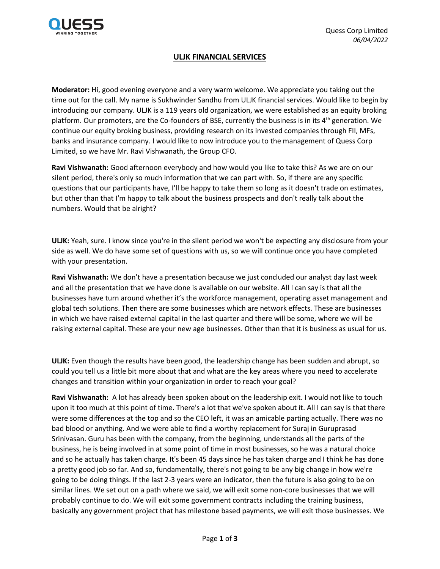

## **ULJK FINANCIAL SERVICES**

**Moderator:** Hi, good evening everyone and a very warm welcome. We appreciate you taking out the time out for the call. My name is Sukhwinder Sandhu from ULJK financial services. Would like to begin by introducing our company. ULJK is a 119 years old organization, we were established as an equity broking platform. Our promoters, are the Co-founders of BSE, currently the business is in its 4<sup>th</sup> generation. We continue our equity broking business, providing research on its invested companies through FII, MFs, banks and insurance company. I would like to now introduce you to the management of Quess Corp Limited, so we have Mr. Ravi Vishwanath, the Group CFO.

**Ravi Vishwanath:** Good afternoon everybody and how would you like to take this? As we are on our silent period, there's only so much information that we can part with. So, if there are any specific questions that our participants have, I'll be happy to take them so long as it doesn't trade on estimates, but other than that I'm happy to talk about the business prospects and don't really talk about the numbers. Would that be alright?

**ULJK:** Yeah, sure. I know since you're in the silent period we won't be expecting any disclosure from your side as well. We do have some set of questions with us, so we will continue once you have completed with your presentation.

**Ravi Vishwanath:** We don't have a presentation because we just concluded our analyst day last week and all the presentation that we have done is available on our website. All I can say is that all the businesses have turn around whether it's the workforce management, operating asset management and global tech solutions. Then there are some businesses which are network effects. These are businesses in which we have raised external capital in the last quarter and there will be some, where we will be raising external capital. These are your new age businesses. Other than that it is business as usual for us.

**ULJK:** Even though the results have been good, the leadership change has been sudden and abrupt, so could you tell us a little bit more about that and what are the key areas where you need to accelerate changes and transition within your organization in order to reach your goal?

**Ravi Vishwanath:** A lot has already been spoken about on the leadership exit. I would not like to touch upon it too much at this point of time. There's a lot that we've spoken about it. All I can say is that there were some differences at the top and so the CEO left, it was an amicable parting actually. There was no bad blood or anything. And we were able to find a worthy replacement for Suraj in Guruprasad Srinivasan. Guru has been with the company, from the beginning, understands all the parts of the business, he is being involved in at some point of time in most businesses, so he was a natural choice and so he actually has taken charge. It's been 45 days since he has taken charge and I think he has done a pretty good job so far. And so, fundamentally, there's not going to be any big change in how we're going to be doing things. If the last 2-3 years were an indicator, then the future is also going to be on similar lines. We set out on a path where we said, we will exit some non-core businesses that we will probably continue to do. We will exit some government contracts including the training business, basically any government project that has milestone based payments, we will exit those businesses. We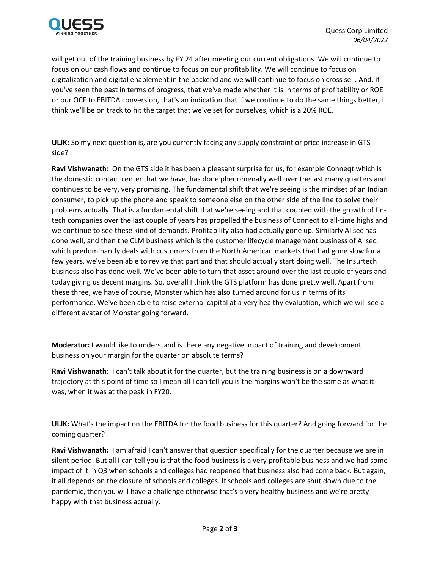

will get out of the training business by FY 24 after meeting our current obligations. We will continue to focus on our cash flows and continue to focus on our profitability. We will continue to focus on digitalization and digital enablement in the backend and we will continue to focus on cross sell. And, if you've seen the past in terms of progress, that we've made whether it is in terms of profitability or ROE or our OCF to EBITDA conversion, that's an indication that if we continue to do the same things better, I think we'll be on track to hit the target that we've set for ourselves, which is a 20% ROE.

**ULJK:** So my next question is, are you currently facing any supply constraint or price increase in GTS side?

**Ravi Vishwanath:** On the GTS side it has been a pleasant surprise for us, for example Conneqt which is the domestic contact center that we have, has done phenomenally well over the last many quarters and continues to be very, very promising. The fundamental shift that we're seeing is the mindset of an Indian consumer, to pick up the phone and speak to someone else on the other side of the line to solve their problems actually. That is a fundamental shift that we're seeing and that coupled with the growth of fintech companies over the last couple of years has propelled the business of Conneqt to all-time highs and we continue to see these kind of demands. Profitability also had actually gone up. Similarly Allsec has done well, and then the CLM business which is the customer lifecycle management business of Allsec, which predominantly deals with customers from the North American markets that had gone slow for a few years, we've been able to revive that part and that should actually start doing well. The Insurtech business also has done well. We've been able to turn that asset around over the last couple of years and today giving us decent margins. So, overall I think the GTS platform has done pretty well. Apart from these three, we have of course, Monster which has also turned around for us in terms of its performance. We've been able to raise external capital at a very healthy evaluation, which we will see a different avatar of Monster going forward.

**Moderator:** I would like to understand is there any negative impact of training and development business on your margin for the quarter on absolute terms?

**Ravi Vishwanath:** I can't talk about it for the quarter, but the training business is on a downward trajectory at this point of time so I mean all I can tell you is the margins won't be the same as what it was, when it was at the peak in FY20.

**ULJK:** What's the impact on the EBITDA for the food business for this quarter? And going forward for the coming quarter?

**Ravi Vishwanath:** I am afraid I can't answer that question specifically for the quarter because we are in silent period. But all I can tell you is that the food business is a very profitable business and we had some impact of it in Q3 when schools and colleges had reopened that business also had come back. But again, it all depends on the closure of schools and colleges. If schools and colleges are shut down due to the pandemic, then you will have a challenge otherwise that's a very healthy business and we're pretty happy with that business actually.